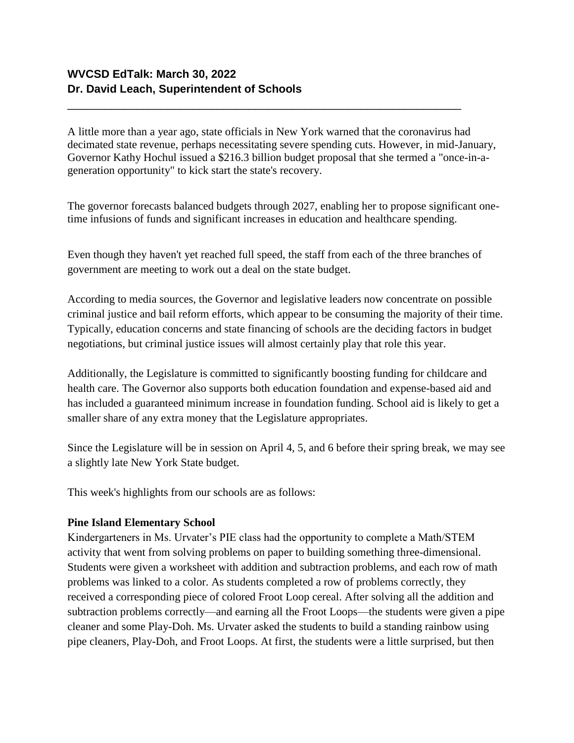A little more than a year ago, state officials in New York warned that the coronavirus had decimated state revenue, perhaps necessitating severe spending cuts. However, in mid-January, Governor Kathy Hochul issued a \$216.3 billion budget proposal that she termed a "once-in-ageneration opportunity" to kick start the state's recovery.

\_\_\_\_\_\_\_\_\_\_\_\_\_\_\_\_\_\_\_\_\_\_\_\_\_\_\_\_\_\_\_\_\_\_\_\_\_\_\_\_\_\_\_\_\_\_\_\_\_\_\_\_\_\_\_\_\_\_\_\_\_\_\_

The governor forecasts balanced budgets through 2027, enabling her to propose significant onetime infusions of funds and significant increases in education and healthcare spending.

Even though they haven't yet reached full speed, the staff from each of the three branches of government are meeting to work out a deal on the state budget.

According to media sources, the Governor and legislative leaders now concentrate on possible criminal justice and bail reform efforts, which appear to be consuming the majority of their time. Typically, education concerns and state financing of schools are the deciding factors in budget negotiations, but criminal justice issues will almost certainly play that role this year.

Additionally, the Legislature is committed to significantly boosting funding for childcare and health care. The Governor also supports both education foundation and expense-based aid and has included a guaranteed minimum increase in foundation funding. School aid is likely to get a smaller share of any extra money that the Legislature appropriates.

Since the Legislature will be in session on April 4, 5, and 6 before their spring break, we may see a slightly late New York State budget.

This week's highlights from our schools are as follows:

## **Pine Island Elementary School**

Kindergarteners in Ms. Urvater's PIE class had the opportunity to complete a Math/STEM activity that went from solving problems on paper to building something three-dimensional. Students were given a worksheet with addition and subtraction problems, and each row of math problems was linked to a color. As students completed a row of problems correctly, they received a corresponding piece of colored Froot Loop cereal. After solving all the addition and subtraction problems correctly—and earning all the Froot Loops—the students were given a pipe cleaner and some Play-Doh. Ms. Urvater asked the students to build a standing rainbow using pipe cleaners, Play-Doh, and Froot Loops. At first, the students were a little surprised, but then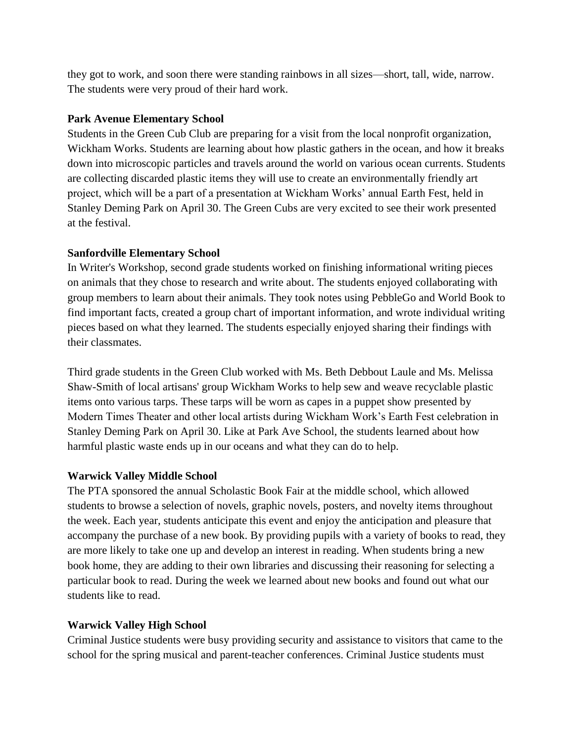they got to work, and soon there were standing rainbows in all sizes—short, tall, wide, narrow. The students were very proud of their hard work.

## **Park Avenue Elementary School**

Students in the Green Cub Club are preparing for a visit from the local nonprofit organization, Wickham Works. Students are learning about how plastic gathers in the ocean, and how it breaks down into microscopic particles and travels around the world on various ocean currents. Students are collecting discarded plastic items they will use to create an environmentally friendly art project, which will be a part of a presentation at Wickham Works' annual Earth Fest, held in Stanley Deming Park on April 30. The Green Cubs are very excited to see their work presented at the festival.

## **Sanfordville Elementary School**

In Writer's Workshop, second grade students worked on finishing informational writing pieces on animals that they chose to research and write about. The students enjoyed collaborating with group members to learn about their animals. They took notes using PebbleGo and World Book to find important facts, created a group chart of important information, and wrote individual writing pieces based on what they learned. The students especially enjoyed sharing their findings with their classmates.

Third grade students in the Green Club worked with Ms. Beth Debbout Laule and Ms. Melissa Shaw-Smith of local artisans' group Wickham Works to help sew and weave recyclable plastic items onto various tarps. These tarps will be worn as capes in a puppet show presented by Modern Times Theater and other local artists during Wickham Work's Earth Fest celebration in Stanley Deming Park on April 30. Like at Park Ave School, the students learned about how harmful plastic waste ends up in our oceans and what they can do to help.

# **Warwick Valley Middle School**

The PTA sponsored the annual Scholastic Book Fair at the middle school, which allowed students to browse a selection of novels, graphic novels, posters, and novelty items throughout the week. Each year, students anticipate this event and enjoy the anticipation and pleasure that accompany the purchase of a new book. By providing pupils with a variety of books to read, they are more likely to take one up and develop an interest in reading. When students bring a new book home, they are adding to their own libraries and discussing their reasoning for selecting a particular book to read. During the week we learned about new books and found out what our students like to read.

# **Warwick Valley High School**

Criminal Justice students were busy providing security and assistance to visitors that came to the school for the spring musical and parent-teacher conferences. Criminal Justice students must